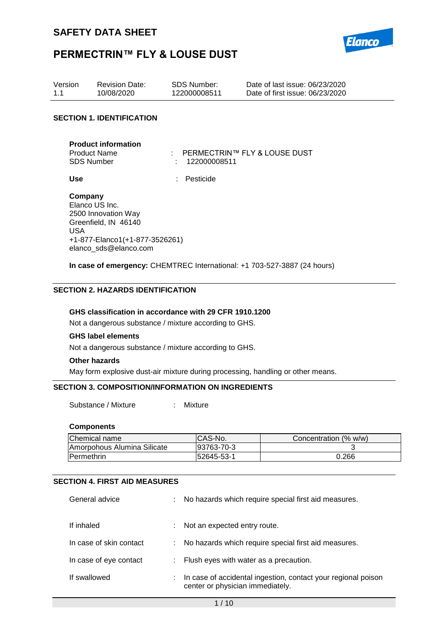

| Version<br>1.1                                  | <b>Revision Date:</b><br>10/08/2020                                                                    | <b>SDS Number:</b><br>122000008511                                                  | Date of last issue: 06/23/2020<br>Date of first issue: 06/23/2020 |
|-------------------------------------------------|--------------------------------------------------------------------------------------------------------|-------------------------------------------------------------------------------------|-------------------------------------------------------------------|
|                                                 | <b>SECTION 1. IDENTIFICATION</b>                                                                       |                                                                                     |                                                                   |
| <b>Product Name</b><br><b>SDS Number</b><br>Use | <b>Product information</b>                                                                             | $\therefore$ PERMECTRIN <sup>TM</sup> FLY & LOUSE DUST<br>122000008511<br>Pesticide |                                                                   |
| Company<br>Elanco US Inc.<br>USA.               | 2500 Innovation Way<br>Greenfield, IN 46140<br>+1-877-Elanco1(+1-877-3526261)<br>elanco sds@elanco.com |                                                                                     |                                                                   |

**In case of emergency:** CHEMTREC International: +1 703-527-3887 (24 hours)

#### **SECTION 2. HAZARDS IDENTIFICATION**

#### **GHS classification in accordance with 29 CFR 1910.1200**

Not a dangerous substance / mixture according to GHS.

#### **GHS label elements**

Not a dangerous substance / mixture according to GHS.

#### **Other hazards**

May form explosive dust-air mixture during processing, handling or other means.

#### **SECTION 3. COMPOSITION/INFORMATION ON INGREDIENTS**

Substance / Mixture : Mixture

#### **Components**

| Chemical name               | ICAS-No.   | Concentration (% w/w) |
|-----------------------------|------------|-----------------------|
| Amorpohous Alumina Silicate | 93763-70-3 |                       |
| <b>IPermethrin</b>          | 52645-53-1 | 0.266                 |

#### **SECTION 4. FIRST AID MEASURES**

| General advice          | ÷. | No hazards which require special first aid measures.                                              |
|-------------------------|----|---------------------------------------------------------------------------------------------------|
| If inhaled              | ÷. | Not an expected entry route.                                                                      |
| In case of skin contact | ÷. | No hazards which require special first aid measures.                                              |
| In case of eye contact  |    | : Flush eyes with water as a precaution.                                                          |
| If swallowed            |    | In case of accidental ingestion, contact your regional poison<br>center or physician immediately. |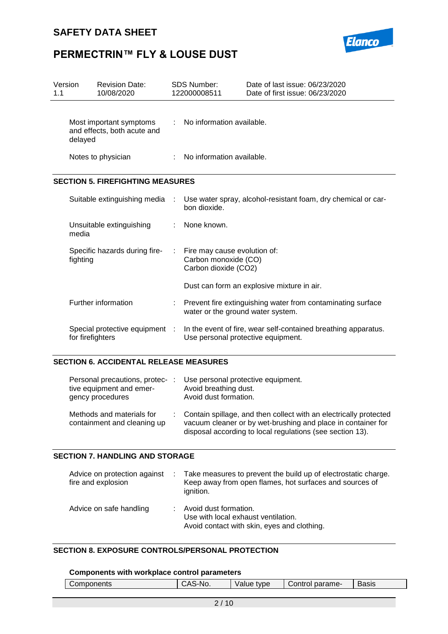

| Version<br>1.1 |                  | <b>Revision Date:</b><br>10/08/2020                    |    | <b>SDS Number:</b><br>122000008511                                           | Date of last issue: 06/23/2020<br>Date of first issue: 06/23/2020 |
|----------------|------------------|--------------------------------------------------------|----|------------------------------------------------------------------------------|-------------------------------------------------------------------|
|                | delayed          | Most important symptoms<br>and effects, both acute and | t. | No information available.                                                    |                                                                   |
|                |                  | Notes to physician                                     |    | No information available.                                                    |                                                                   |
|                |                  | <b>SECTION 5. FIREFIGHTING MEASURES</b>                |    |                                                                              |                                                                   |
|                |                  | Suitable extinguishing media                           |    | bon dioxide.                                                                 | Use water spray, alcohol-resistant foam, dry chemical or car-     |
|                | media            | Unsuitable extinguishing                               |    | None known.                                                                  |                                                                   |
|                | fighting         | Specific hazards during fire-                          | ÷  | Fire may cause evolution of:<br>Carbon monoxide (CO)<br>Carbon dioxide (CO2) |                                                                   |
|                |                  |                                                        |    |                                                                              | Dust can form an explosive mixture in air.                        |
|                |                  | Further information                                    |    | water or the ground water system.                                            | Prevent fire extinguishing water from contaminating surface       |
|                | for firefighters | Special protective equipment :                         |    | Use personal protective equipment.                                           | In the event of fire, wear self-contained breathing apparatus.    |

#### **SECTION 6. ACCIDENTAL RELEASE MEASURES**

| Personal precautions, protec-:<br>tive equipment and emer-<br>gency procedures | Use personal protective equipment.<br>Avoid breathing dust.<br>Avoid dust formation.                                                                                                           |
|--------------------------------------------------------------------------------|------------------------------------------------------------------------------------------------------------------------------------------------------------------------------------------------|
| Methods and materials for<br>containment and cleaning up                       | Contain spillage, and then collect with an electrically protected<br>vacuum cleaner or by wet-brushing and place in container for<br>disposal according to local regulations (see section 13). |

#### **SECTION 7. HANDLING AND STORAGE**

| Advice on protection against<br>fire and explosion | Take measures to prevent the build up of electrostatic charge.<br>Keep away from open flames, hot surfaces and sources of<br>ignition. |
|----------------------------------------------------|----------------------------------------------------------------------------------------------------------------------------------------|
| Advice on safe handling                            | Avoid dust formation.<br>Use with local exhaust ventilation.<br>Avoid contact with skin, eyes and clothing.                            |

#### **SECTION 8. EXPOSURE CONTROLS/PERSONAL PROTECTION**

#### **Components with workplace control parameters**

| ∠omponents<br>onents | ∹-No.<br>ำ<br>ັ | $\cdot$<br>tvpe<br>alut ' | parame-<br>Control | -<br>יי הר<br>ગ્વડાડ |
|----------------------|-----------------|---------------------------|--------------------|----------------------|
|                      |                 |                           |                    |                      |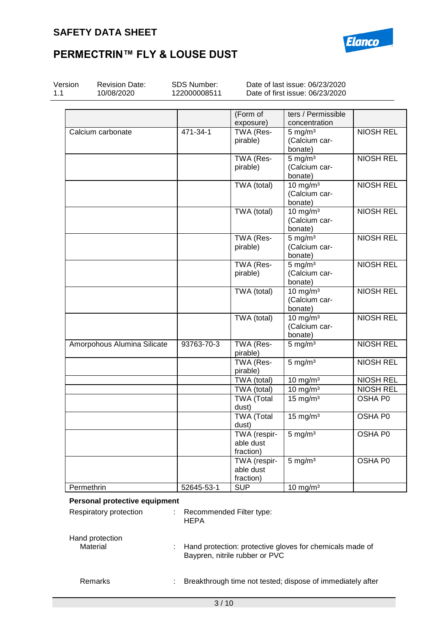### **SAFETY DATA SHEET**



### **PERMECTRIN™ FLY & LOUSE DUST**

| Version    | <b>Revision Date:</b><br>10/08/2020 | SDS Number:<br>122000008511 |                                | Date of last issue: 06/23/2020<br>Date of first issue: 06/23/2020 |                  |
|------------|-------------------------------------|-----------------------------|--------------------------------|-------------------------------------------------------------------|------------------|
|            |                                     |                             |                                |                                                                   |                  |
|            |                                     |                             | (Form of                       | ters / Permissible                                                |                  |
|            |                                     |                             | exposure)                      | concentration                                                     |                  |
|            | Calcium carbonate                   | 471-34-1                    | TWA (Res-                      | $5 \text{ mg/m}^3$                                                | <b>NIOSH REL</b> |
|            |                                     |                             | pirable)                       | (Calcium car-                                                     |                  |
|            |                                     |                             |                                | bonate)                                                           | <b>NIOSH REL</b> |
|            |                                     |                             | TWA (Res-<br>pirable)          | $5 \text{ mg/m}^3$<br>(Calcium car-                               |                  |
|            |                                     |                             |                                | bonate)                                                           |                  |
|            |                                     |                             | TWA (total)                    | 10 mg/m <sup>3</sup>                                              | <b>NIOSH REL</b> |
|            |                                     |                             |                                | (Calcium car-                                                     |                  |
|            |                                     |                             |                                | bonate)                                                           |                  |
|            |                                     |                             | TWA (total)                    | 10 mg/m <sup>3</sup>                                              | <b>NIOSH REL</b> |
|            |                                     |                             |                                | (Calcium car-                                                     |                  |
|            |                                     |                             |                                | bonate)                                                           |                  |
|            |                                     |                             | TWA (Res-                      | $5 \overline{\mathrm{mg}}$ m <sup>3</sup>                         | <b>NIOSH REL</b> |
|            |                                     |                             | pirable)                       | (Calcium car-                                                     |                  |
|            |                                     |                             |                                | bonate)                                                           |                  |
|            |                                     |                             | TWA (Res-                      | $5 \text{ mg/m}^3$                                                | <b>NIOSH REL</b> |
|            |                                     |                             | pirable)                       | (Calcium car-                                                     |                  |
|            |                                     |                             |                                | bonate)                                                           |                  |
|            |                                     |                             | TWA (total)                    | 10 mg/m $3$                                                       | <b>NIOSH REL</b> |
|            |                                     |                             |                                | (Calcium car-                                                     |                  |
|            |                                     |                             |                                | bonate)                                                           |                  |
|            |                                     |                             | TWA (total)                    | $10 \text{ mg/m}^3$                                               | <b>NIOSH REL</b> |
|            |                                     |                             |                                | (Calcium car-                                                     |                  |
|            | Amorpohous Alumina Silicate         | 93763-70-3                  | <b>TWA (Res-</b>               | bonate)<br>$5 \text{ mg/m}^3$                                     | <b>NIOSH REL</b> |
|            |                                     |                             | pirable)                       |                                                                   |                  |
|            |                                     |                             | TWA (Res-                      | $5 \text{ mg/m}^3$                                                | <b>NIOSH REL</b> |
|            |                                     |                             | pirable)                       |                                                                   |                  |
|            |                                     |                             | TWA (total)                    | 10 mg/m $3$                                                       | <b>NIOSH REL</b> |
|            |                                     |                             | TWA (total)                    | $10 \text{ mg/m}^3$                                               | <b>NIOSH REL</b> |
|            |                                     |                             | <b>TWA (Total</b>              | $15 \text{ mg/m}^3$                                               | <b>OSHA P0</b>   |
|            |                                     |                             | dust)                          |                                                                   |                  |
|            |                                     |                             | <b>TWA (Total</b>              | $15 \text{ mg/m}^3$                                               | OSHA P0          |
|            |                                     |                             | dust)                          |                                                                   |                  |
|            |                                     |                             | TWA (respir-                   | $5 \text{ mg/m}^3$                                                | OSHA P0          |
|            |                                     |                             | able dust                      |                                                                   |                  |
|            |                                     |                             | fraction)                      |                                                                   |                  |
|            |                                     |                             | TWA (respir-                   | $5 \text{ mg/m}^3$                                                | OSHA P0          |
|            |                                     |                             | able dust<br>fraction)         |                                                                   |                  |
| Permethrin |                                     | 52645-53-1                  | <b>SUP</b>                     | 10 mg/m $3$                                                       |                  |
|            |                                     |                             |                                |                                                                   |                  |
|            | Personal protective equipment       |                             |                                |                                                                   |                  |
|            | Respiratory protection              |                             | Recommended Filter type:       |                                                                   |                  |
|            |                                     | <b>HEPA</b>                 |                                |                                                                   |                  |
|            |                                     |                             |                                |                                                                   |                  |
|            |                                     |                             |                                |                                                                   |                  |
|            | Hand protection                     |                             |                                |                                                                   |                  |
| Material   |                                     |                             | Baypren, nitrile rubber or PVC | Hand protection: protective gloves for chemicals made of          |                  |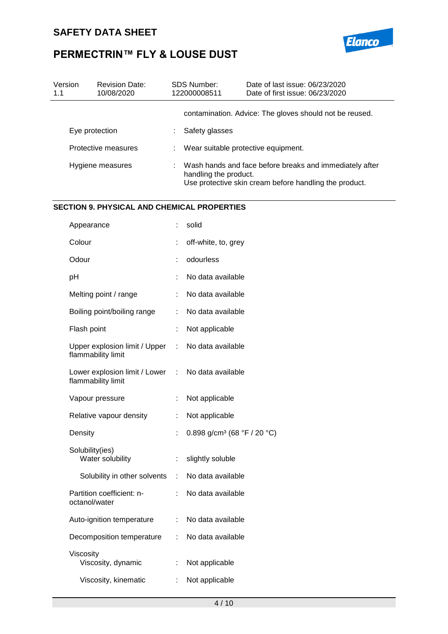

| Version<br>1.1 | <b>Revision Date:</b><br>10/08/2020 | <b>SDS Number:</b><br>122000008511 | Date of last issue: 06/23/2020<br>Date of first issue: 06/23/2020                                                 |
|----------------|-------------------------------------|------------------------------------|-------------------------------------------------------------------------------------------------------------------|
|                |                                     |                                    | contamination. Advice: The gloves should not be reused.                                                           |
|                | Eye protection                      | Safety glasses                     |                                                                                                                   |
|                | Protective measures                 |                                    | Wear suitable protective equipment.                                                                               |
|                | Hygiene measures                    | handling the product.              | Wash hands and face before breaks and immediately after<br>Use protective skin cream before handling the product. |

#### **SECTION 9. PHYSICAL AND CHEMICAL PROPERTIES**

| Appearance                                          |                  | solid                                   |
|-----------------------------------------------------|------------------|-----------------------------------------|
| Colour                                              |                  | off-white, to, grey                     |
| Odour                                               | t                | odourless                               |
| pH                                                  | t                | No data available                       |
| Melting point / range                               | t.               | No data available                       |
| Boiling point/boiling range                         | t.               | No data available                       |
| Flash point                                         | t,               | Not applicable                          |
| Upper explosion limit / Upper<br>flammability limit | $\mathbb{R}^n$ . | No data available                       |
| Lower explosion limit / Lower<br>flammability limit |                  | : No data available                     |
| Vapour pressure                                     | $\ddot{\cdot}$   | Not applicable                          |
| Relative vapour density                             | t.               | Not applicable                          |
| Density                                             | ÷                | 0.898 g/cm <sup>3</sup> (68 °F / 20 °C) |
| Solubility(ies)<br>Water solubility                 | ÷.               | slightly soluble                        |
| Solubility in other solvents                        |                  | : No data available                     |
| Partition coefficient: n-<br>octanol/water          | ÷.               | No data available                       |
| Auto-ignition temperature                           | ÷                | No data available                       |
| Decomposition temperature                           | ÷.               | No data available                       |
| Viscosity<br>Viscosity, dynamic                     | ÷.               | Not applicable                          |
| Viscosity, kinematic                                | t.               | Not applicable                          |
|                                                     |                  |                                         |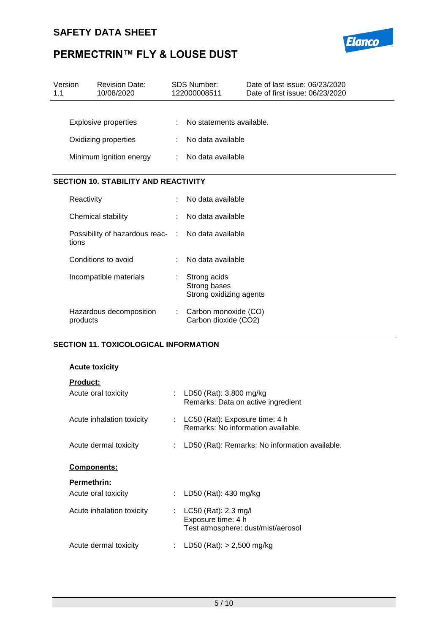### **SAFETY DATA SHEET**



# **PERMECTRIN™ FLY & LOUSE DUST**

| Version<br>1.1 |            | <b>Revision Date:</b><br>10/08/2020         | <b>SDS Number:</b><br>122000008511                      | Date of last issue: 06/23/2020<br>Date of first issue: 06/23/2020 |
|----------------|------------|---------------------------------------------|---------------------------------------------------------|-------------------------------------------------------------------|
|                |            |                                             |                                                         |                                                                   |
|                |            | <b>Explosive properties</b>                 | No statements available.                                |                                                                   |
|                |            | Oxidizing properties                        | No data available                                       |                                                                   |
|                |            | Minimum ignition energy                     | No data available                                       |                                                                   |
|                |            |                                             |                                                         |                                                                   |
|                |            | <b>SECTION 10. STABILITY AND REACTIVITY</b> |                                                         |                                                                   |
|                | Reactivity |                                             | No data available                                       |                                                                   |
|                |            | Chemical stability                          | No data available                                       |                                                                   |
|                | tions      | Possibility of hazardous reac- :            | No data available                                       |                                                                   |
|                |            | Conditions to avoid                         | No data available                                       |                                                                   |
|                |            | Incompatible materials                      | Strong acids<br>Strong bases<br>Strong oxidizing agents |                                                                   |
|                | products   | Hazardous decomposition                     | Carbon monoxide (CO)<br>Carbon dioxide (CO2)            |                                                                   |

#### **SECTION 11. TOXICOLOGICAL INFORMATION**

#### **Acute toxicity**

|  | Product |  |
|--|---------|--|
|  |         |  |

| Acute oral toxicity       | : LD50 (Rat): $3,800$ mg/kg<br>Remarks: Data on active ingredient                    |
|---------------------------|--------------------------------------------------------------------------------------|
| Acute inhalation toxicity | LC50 (Rat): Exposure time: 4 h<br>Remarks: No information available.                 |
| Acute dermal toxicity     | LD50 (Rat): Remarks: No information available.                                       |
| <b>Components:</b>        |                                                                                      |
| <b>Permethrin:</b>        |                                                                                      |
| Acute oral toxicity       | : LD50 (Rat): 430 mg/kg                                                              |
| Acute inhalation toxicity | : $LC50$ (Rat): 2.3 mg/l<br>Exposure time: 4 h<br>Test atmosphere: dust/mist/aerosol |
| Acute dermal toxicity     | LD50 (Rat): $> 2,500$ mg/kg                                                          |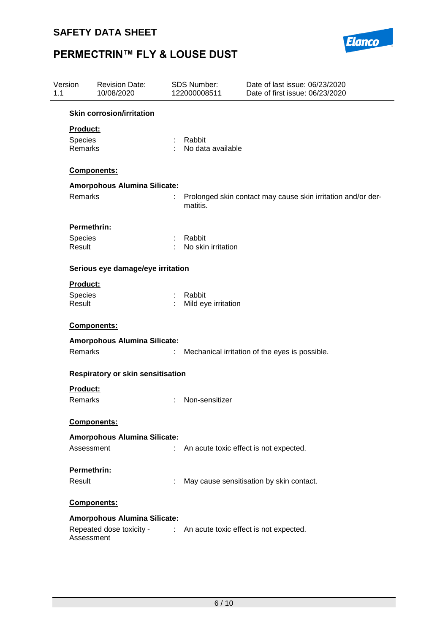

| Version<br>1.1 |                 | <b>Revision Date:</b><br>10/08/2020 |                               | SDS Number:<br>122000008511 | Date of last issue: 06/23/2020<br>Date of first issue: 06/23/2020 |
|----------------|-----------------|-------------------------------------|-------------------------------|-----------------------------|-------------------------------------------------------------------|
|                |                 | <b>Skin corrosion/irritation</b>    |                               |                             |                                                                   |
|                | <b>Product:</b> |                                     |                               |                             |                                                                   |
|                | Species         |                                     | ÷                             | Rabbit                      |                                                                   |
|                | Remarks         |                                     |                               | No data available           |                                                                   |
|                |                 | Components:                         |                               |                             |                                                                   |
|                |                 | <b>Amorpohous Alumina Silicate:</b> |                               |                             |                                                                   |
|                | Remarks         |                                     |                               | matitis.                    | Prolonged skin contact may cause skin irritation and/or der-      |
|                | Permethrin:     |                                     |                               |                             |                                                                   |
|                | Species         |                                     |                               | Rabbit                      |                                                                   |
|                | Result          |                                     |                               | No skin irritation          |                                                                   |
|                |                 | Serious eye damage/eye irritation   |                               |                             |                                                                   |
|                | <b>Product:</b> |                                     |                               |                             |                                                                   |
|                | Species         |                                     | $\mathcal{L}^{\mathcal{L}}$ . | Rabbit                      |                                                                   |
|                | Result          |                                     |                               | Mild eye irritation         |                                                                   |
|                |                 | Components:                         |                               |                             |                                                                   |
|                |                 | <b>Amorpohous Alumina Silicate:</b> |                               |                             |                                                                   |
|                | Remarks         |                                     | ÷.                            |                             | Mechanical irritation of the eyes is possible.                    |
|                |                 | Respiratory or skin sensitisation   |                               |                             |                                                                   |
|                | Product:        |                                     |                               |                             |                                                                   |
|                | Remarks         |                                     |                               | Non-sensitizer              |                                                                   |
|                |                 | <b>Components:</b>                  |                               |                             |                                                                   |
|                |                 |                                     |                               |                             |                                                                   |
|                | Assessment      | <b>Amorpohous Alumina Silicate:</b> |                               |                             | An acute toxic effect is not expected.                            |
|                |                 |                                     |                               |                             |                                                                   |
|                | Permethrin:     |                                     |                               |                             |                                                                   |
|                | Result          |                                     |                               |                             | May cause sensitisation by skin contact.                          |
|                |                 | <b>Components:</b>                  |                               |                             |                                                                   |
|                |                 | <b>Amorpohous Alumina Silicate:</b> |                               |                             |                                                                   |
|                |                 | Repeated dose toxicity -            |                               |                             | : An acute toxic effect is not expected.                          |
|                | Assessment      |                                     |                               |                             |                                                                   |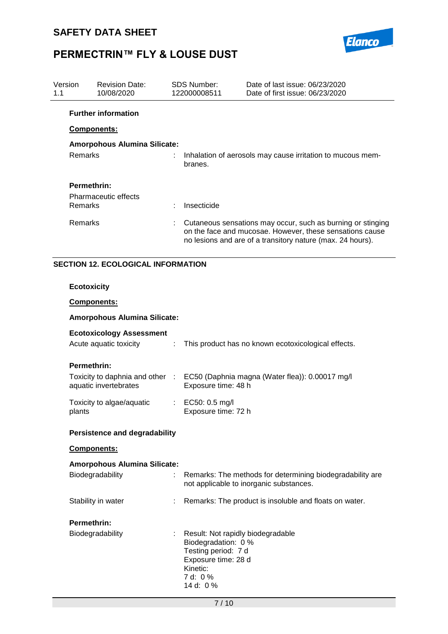

| Version<br>1.1 |                    | <b>Revision Date:</b><br>10/08/2020                       |                                                                                                                                                                                       | <b>SDS Number:</b><br>122000008511                                                                                             | Date of last issue: 06/23/2020<br>Date of first issue: 06/23/2020                                    |
|----------------|--------------------|-----------------------------------------------------------|---------------------------------------------------------------------------------------------------------------------------------------------------------------------------------------|--------------------------------------------------------------------------------------------------------------------------------|------------------------------------------------------------------------------------------------------|
|                |                    | <b>Further information</b>                                |                                                                                                                                                                                       |                                                                                                                                |                                                                                                      |
|                |                    | Components:                                               |                                                                                                                                                                                       |                                                                                                                                |                                                                                                      |
|                |                    | <b>Amorpohous Alumina Silicate:</b>                       |                                                                                                                                                                                       |                                                                                                                                |                                                                                                      |
|                | Remarks            |                                                           |                                                                                                                                                                                       | branes.                                                                                                                        | Inhalation of aerosols may cause irritation to mucous mem-                                           |
|                | Permethrin:        |                                                           |                                                                                                                                                                                       |                                                                                                                                |                                                                                                      |
|                |                    | <b>Pharmaceutic effects</b>                               |                                                                                                                                                                                       |                                                                                                                                |                                                                                                      |
|                | Remarks            |                                                           |                                                                                                                                                                                       | Insecticide                                                                                                                    |                                                                                                      |
|                | Remarks            |                                                           | Cutaneous sensations may occur, such as burning or stinging<br>on the face and mucosae. However, these sensations cause<br>no lesions and are of a transitory nature (max. 24 hours). |                                                                                                                                |                                                                                                      |
|                |                    | <b>SECTION 12. ECOLOGICAL INFORMATION</b>                 |                                                                                                                                                                                       |                                                                                                                                |                                                                                                      |
|                | <b>Ecotoxicity</b> |                                                           |                                                                                                                                                                                       |                                                                                                                                |                                                                                                      |
|                |                    | Components:                                               |                                                                                                                                                                                       |                                                                                                                                |                                                                                                      |
|                |                    | Amorpohous Alumina Silicate:                              |                                                                                                                                                                                       |                                                                                                                                |                                                                                                      |
|                |                    | <b>Ecotoxicology Assessment</b><br>Acute aquatic toxicity | ÷                                                                                                                                                                                     |                                                                                                                                | This product has no known ecotoxicological effects.                                                  |
|                | Permethrin:        |                                                           |                                                                                                                                                                                       |                                                                                                                                |                                                                                                      |
|                |                    | Toxicity to daphnia and other :<br>aquatic invertebrates  |                                                                                                                                                                                       | Exposure time: 48 h                                                                                                            | EC50 (Daphnia magna (Water flea)): 0.00017 mg/l                                                      |
|                | plants             | Toxicity to algae/aquatic                                 | ÷.                                                                                                                                                                                    | EC50: 0.5 mg/l<br>Exposure time: 72 h                                                                                          |                                                                                                      |
|                |                    | <b>Persistence and degradability</b>                      |                                                                                                                                                                                       |                                                                                                                                |                                                                                                      |
|                |                    | Components:                                               |                                                                                                                                                                                       |                                                                                                                                |                                                                                                      |
|                |                    | <b>Amorpohous Alumina Silicate:</b>                       |                                                                                                                                                                                       |                                                                                                                                |                                                                                                      |
|                |                    | Biodegradability                                          | t.                                                                                                                                                                                    |                                                                                                                                | Remarks: The methods for determining biodegradability are<br>not applicable to inorganic substances. |
|                |                    | Stability in water                                        |                                                                                                                                                                                       |                                                                                                                                | Remarks: The product is insoluble and floats on water.                                               |
|                | Permethrin:        |                                                           |                                                                                                                                                                                       |                                                                                                                                |                                                                                                      |
|                |                    | Biodegradability                                          |                                                                                                                                                                                       | Result: Not rapidly biodegradable<br>Biodegradation: 0 %<br>Testing period: 7 d<br>Exposure time: 28 d<br>Kinetic:<br>7 d: 0 % |                                                                                                      |

14 d: 0 %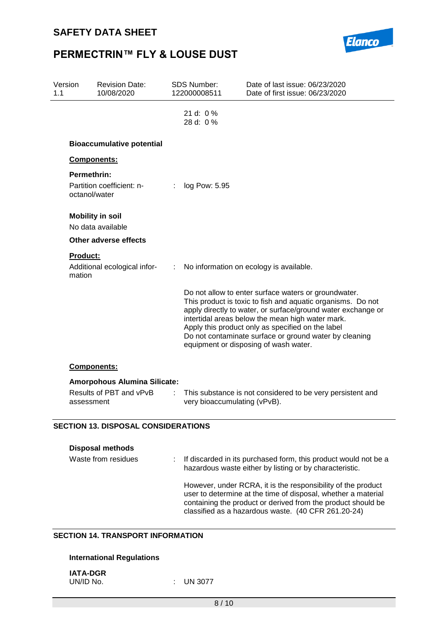

| Version<br>1.1 |                              | <b>Revision Date:</b><br>10/08/2020                            |    | <b>SDS Number:</b><br>122000008511 | Date of last issue: 06/23/2020<br>Date of first issue: 06/23/2020                                                                                                                                                                                                                                                                                                                               |
|----------------|------------------------------|----------------------------------------------------------------|----|------------------------------------|-------------------------------------------------------------------------------------------------------------------------------------------------------------------------------------------------------------------------------------------------------------------------------------------------------------------------------------------------------------------------------------------------|
|                |                              |                                                                |    | 21 d: $0\%$<br>28 d: 0 %           |                                                                                                                                                                                                                                                                                                                                                                                                 |
|                |                              | <b>Bioaccumulative potential</b>                               |    |                                    |                                                                                                                                                                                                                                                                                                                                                                                                 |
|                |                              | Components:                                                    |    |                                    |                                                                                                                                                                                                                                                                                                                                                                                                 |
|                | Permethrin:<br>octanol/water | Partition coefficient: n-                                      |    | log Pow: 5.95                      |                                                                                                                                                                                                                                                                                                                                                                                                 |
|                |                              | <b>Mobility in soil</b><br>No data available                   |    |                                    |                                                                                                                                                                                                                                                                                                                                                                                                 |
|                |                              | <b>Other adverse effects</b>                                   |    |                                    |                                                                                                                                                                                                                                                                                                                                                                                                 |
|                | <b>Product:</b><br>mation    | Additional ecological infor-                                   | ÷. |                                    | No information on ecology is available.                                                                                                                                                                                                                                                                                                                                                         |
|                |                              |                                                                |    |                                    | Do not allow to enter surface waters or groundwater.<br>This product is toxic to fish and aquatic organisms. Do not<br>apply directly to water, or surface/ground water exchange or<br>intertidal areas below the mean high water mark.<br>Apply this product only as specified on the label<br>Do not contaminate surface or ground water by cleaning<br>equipment or disposing of wash water. |
|                |                              | Components:                                                    |    |                                    |                                                                                                                                                                                                                                                                                                                                                                                                 |
|                | assessment                   | <b>Amorpohous Alumina Silicate:</b><br>Results of PBT and vPvB |    | very bioaccumulating (vPvB).       | This substance is not considered to be very persistent and                                                                                                                                                                                                                                                                                                                                      |
|                |                              | <b>SECTION 13. DISPOSAL CONSIDERATIONS</b>                     |    |                                    |                                                                                                                                                                                                                                                                                                                                                                                                 |
|                |                              | <b>Disposal methods</b><br>Waste from residues                 |    |                                    | If discarded in its purchased form, this product would not be a<br>hazardous waste either by listing or by characteristic.<br>However, under RCRA, it is the responsibility of the product<br>user to determine at the time of disposal, whether a material<br>containing the product or derived from the product should be<br>classified as a hazardous waste. (40 CFR 261.20-24)              |
|                |                              |                                                                |    |                                    |                                                                                                                                                                                                                                                                                                                                                                                                 |

#### **SECTION 14. TRANSPORT INFORMATION**

### **International Regulations**

| <b>IATA-DGR</b> |  |
|-----------------|--|
| UN/ID No.       |  |

 $:$  UN 3077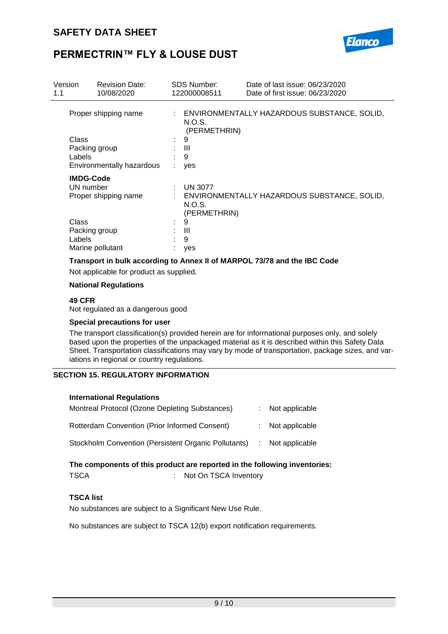

| Version<br>1.1 | <b>Revision Date:</b><br>10/08/2020                           |    | <b>SDS Number:</b><br>122000008511       | Date of last issue: 06/23/2020<br>Date of first issue: 06/23/2020 |
|----------------|---------------------------------------------------------------|----|------------------------------------------|-------------------------------------------------------------------|
|                | Proper shipping name                                          |    | N.O.S.<br>(PERMETHRIN)                   | : ENVIRONMENTALLY HAZARDOUS SUBSTANCE, SOLID,                     |
|                | Class<br>Packing group<br>Labels<br>Environmentally hazardous | ÷. | 9<br>Ш<br>9<br>yes                       |                                                                   |
|                | <b>IMDG-Code</b><br>UN number<br>Proper shipping name         | t. | <b>UN 3077</b><br>N.O.S.<br>(PERMETHRIN) | ENVIRONMENTALLY HAZARDOUS SUBSTANCE, SOLID,                       |
|                | Class<br>Packing group<br>Labels<br>Marine pollutant          | ٠. | 9<br>Ш<br>9<br>yes                       |                                                                   |

#### **Transport in bulk according to Annex II of MARPOL 73/78 and the IBC Code**

Not applicable for product as supplied.

#### **National Regulations**

#### **49 CFR**

Not regulated as a dangerous good

#### **Special precautions for user**

The transport classification(s) provided herein are for informational purposes only, and solely based upon the properties of the unpackaged material as it is described within this Safety Data Sheet. Transportation classifications may vary by mode of transportation, package sizes, and variations in regional or country regulations.

#### **SECTION 15. REGULATORY INFORMATION**

| <b>International Regulations</b>                     |                  |
|------------------------------------------------------|------------------|
| Montreal Protocol (Ozone Depleting Substances)       | : Not applicable |
| Rotterdam Convention (Prior Informed Consent)        | : Not applicable |
| Stockholm Convention (Persistent Organic Pollutants) | : Not applicable |

# **The components of this product are reported in the following inventories:**

### TSCA : Not On TSCA Inventory

### **TSCA list**

No substances are subject to a Significant New Use Rule.

No substances are subject to TSCA 12(b) export notification requirements.